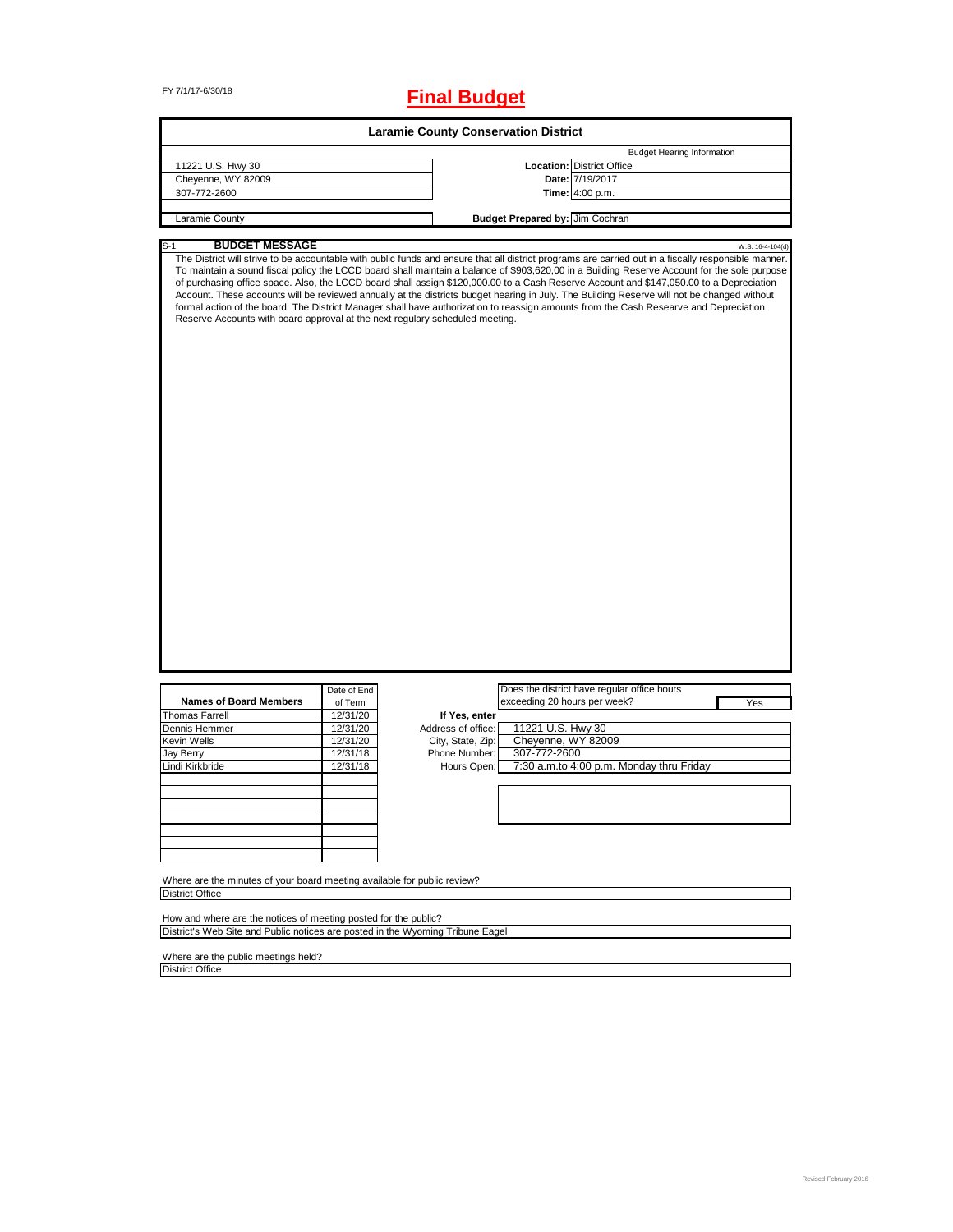# FY 7/1/17-6/30/18 **Final Budget**

| <b>Laramie County Conservation District</b>                                                                                                                                 |                                                                                    |                                                                                          |                                                                                         |                                                                                                                                                                                                                                                                                                                                                                                                                                                                                                                                                                                                                                                                                                                                                             |  |  |
|-----------------------------------------------------------------------------------------------------------------------------------------------------------------------------|------------------------------------------------------------------------------------|------------------------------------------------------------------------------------------|-----------------------------------------------------------------------------------------|-------------------------------------------------------------------------------------------------------------------------------------------------------------------------------------------------------------------------------------------------------------------------------------------------------------------------------------------------------------------------------------------------------------------------------------------------------------------------------------------------------------------------------------------------------------------------------------------------------------------------------------------------------------------------------------------------------------------------------------------------------------|--|--|
|                                                                                                                                                                             |                                                                                    |                                                                                          |                                                                                         | <b>Budget Hearing Information</b>                                                                                                                                                                                                                                                                                                                                                                                                                                                                                                                                                                                                                                                                                                                           |  |  |
| 11221 U.S. Hwy 30                                                                                                                                                           |                                                                                    |                                                                                          |                                                                                         | <b>Location:</b> District Office                                                                                                                                                                                                                                                                                                                                                                                                                                                                                                                                                                                                                                                                                                                            |  |  |
| Cheyenne, WY 82009                                                                                                                                                          |                                                                                    |                                                                                          |                                                                                         | Date: 7/19/2017                                                                                                                                                                                                                                                                                                                                                                                                                                                                                                                                                                                                                                                                                                                                             |  |  |
| 307-772-2600                                                                                                                                                                |                                                                                    |                                                                                          |                                                                                         | Time: 4:00 p.m.                                                                                                                                                                                                                                                                                                                                                                                                                                                                                                                                                                                                                                                                                                                                             |  |  |
| Laramie County                                                                                                                                                              |                                                                                    |                                                                                          | Budget Prepared by: Jim Cochran                                                         |                                                                                                                                                                                                                                                                                                                                                                                                                                                                                                                                                                                                                                                                                                                                                             |  |  |
|                                                                                                                                                                             |                                                                                    |                                                                                          |                                                                                         |                                                                                                                                                                                                                                                                                                                                                                                                                                                                                                                                                                                                                                                                                                                                                             |  |  |
| <b>BUDGET MESSAGE</b><br>S-1<br>Reserve Accounts with board approval at the next regulary scheduled meeting.                                                                |                                                                                    |                                                                                          |                                                                                         | W.S. 16-4-104(d)<br>The District will strive to be accountable with public funds and ensure that all district programs are carried out in a fiscally responsible manner.<br>To maintain a sound fiscal policy the LCCD board shall maintain a balance of \$903,620,00 in a Building Reserve Account for the sole purpose<br>of purchasing office space. Also, the LCCD board shall assign \$120,000.00 to a Cash Reserve Account and \$147,050.00 to a Depreciation<br>Account. These accounts will be reviewed annually at the districts budget hearing in July. The Building Reserve will not be changed without<br>formal action of the board. The District Manager shall have authorization to reassign amounts from the Cash Researve and Depreciation |  |  |
| <b>Names of Board Members</b><br><b>Thomas Farrell</b><br>Dennis Hemmer<br>Kevin Wells<br>Jay Berry<br>Lindi Kirkbride                                                      | Date of End<br>of Term<br>12/31/20<br>12/31/20<br>12/31/20<br>12/31/18<br>12/31/18 | If Yes, enter<br>Address of office:<br>City, State, Zip:<br>Phone Number:<br>Hours Open: | exceeding 20 hours per week?<br>11221 U.S. Hwy 30<br>Cheyenne, WY 82009<br>307-772-2600 | Does the district have regular office hours<br>Yes<br>7:30 a.m.to 4:00 p.m. Monday thru Friday                                                                                                                                                                                                                                                                                                                                                                                                                                                                                                                                                                                                                                                              |  |  |
| Where are the minutes of your board meeting available for public review?                                                                                                    |                                                                                    |                                                                                          |                                                                                         |                                                                                                                                                                                                                                                                                                                                                                                                                                                                                                                                                                                                                                                                                                                                                             |  |  |
| <b>District Office</b><br>How and where are the notices of meeting posted for the public?<br>District's Web Site and Public notices are posted in the Wyoming Tribune Eagel |                                                                                    |                                                                                          |                                                                                         |                                                                                                                                                                                                                                                                                                                                                                                                                                                                                                                                                                                                                                                                                                                                                             |  |  |

Where are the public meetings held? District Office

 $\overline{\phantom{0}}$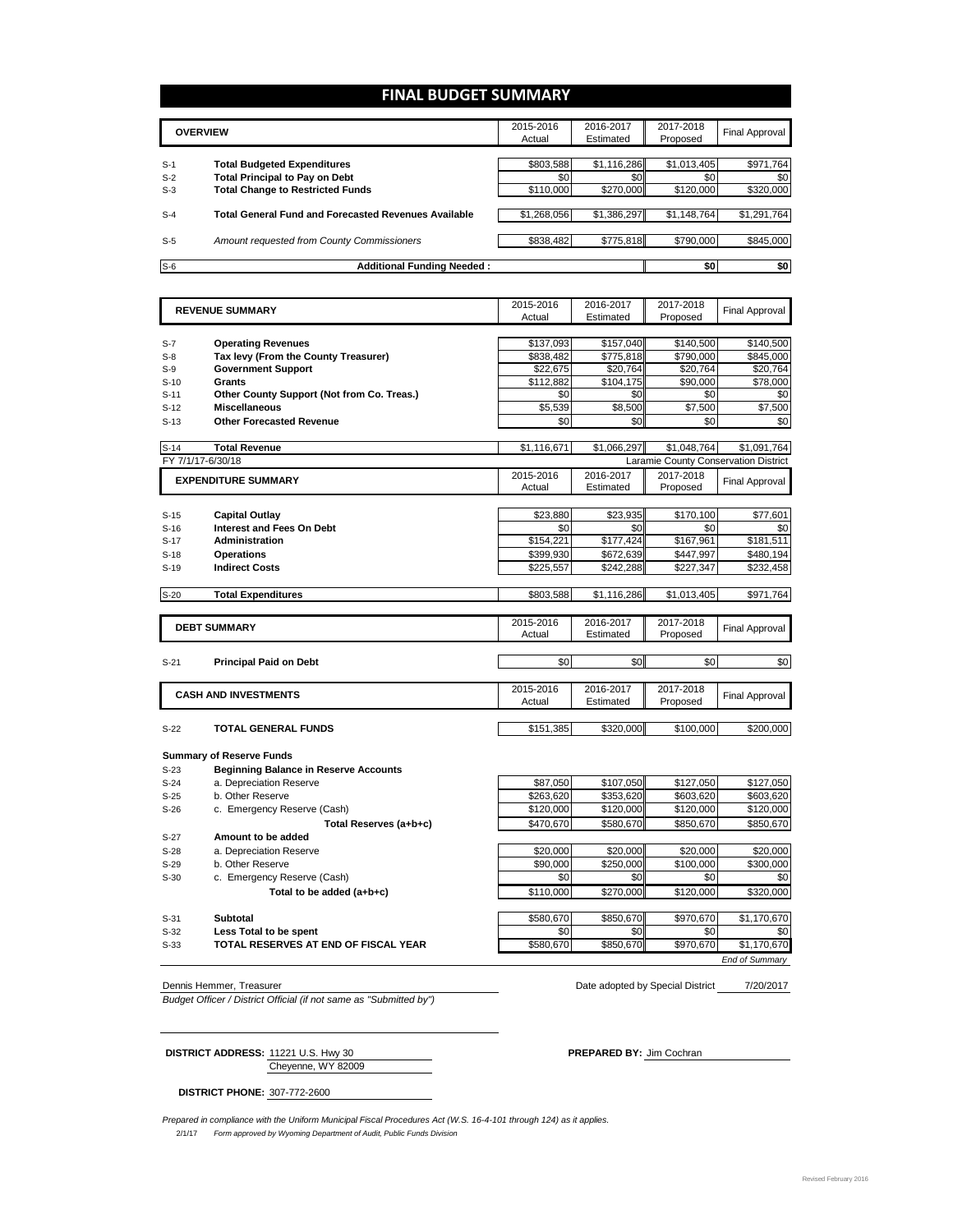## **FINAL BUDGET SUMMARY**

|       |                                                             | 2015-2016   | 2016-2017   | 2017-2018   | Final Approval |
|-------|-------------------------------------------------------------|-------------|-------------|-------------|----------------|
|       | <b>OVERVIEW</b>                                             |             | Estimated   | Proposed    |                |
|       |                                                             |             |             |             |                |
| $S-1$ | <b>Total Budgeted Expenditures</b>                          | \$803,588   | \$1,116,286 | \$1,013,405 | \$971,764      |
| $S-2$ | <b>Total Principal to Pay on Debt</b>                       | \$0         | \$0         | \$0         | \$0            |
| $S-3$ | <b>Total Change to Restricted Funds</b>                     | \$110,000   | \$270,000   | \$120,000   | \$320,000      |
|       |                                                             |             |             |             |                |
| $S-4$ | <b>Total General Fund and Forecasted Revenues Available</b> | \$1,268,056 | \$1,386,297 | \$1,148,764 | \$1,291,764    |
|       |                                                             |             |             |             |                |
| $S-5$ | Amount requested from County Commissioners                  | \$838,482   | \$775,818   | \$790,000   | \$845,000      |
|       |                                                             |             |             |             |                |
| $S-6$ | <b>Additional Funding Needed:</b>                           |             |             | \$0         | \$0            |

|        | <b>REVENUE SUMMARY</b>                       | 2015-2016<br>Actual | 2016-2017   | 2017-2018   | <b>Final Approval</b>                |
|--------|----------------------------------------------|---------------------|-------------|-------------|--------------------------------------|
|        |                                              |                     | Estimated   | Proposed    |                                      |
|        |                                              |                     |             |             |                                      |
| $S-7$  | <b>Operating Revenues</b>                    | \$137,093           | \$157,040   | \$140,500   | \$140,500                            |
| $S-8$  | Tax levy (From the County Treasurer)         | \$838,482           | \$775,818   | \$790,000   | \$845,000                            |
| $S-9$  | <b>Government Support</b>                    | \$22,675            | \$20,764    | \$20,764    | \$20,764                             |
| $S-10$ | Grants                                       | \$112,882           | \$104,175   | \$90,000    | \$78,000                             |
| $S-11$ | Other County Support (Not from Co. Treas.)   | \$0                 | \$0         | \$0         | \$0                                  |
| $S-12$ | <b>Miscellaneous</b>                         | \$5,539             | \$8,500     | \$7,500     | \$7,500                              |
| $S-13$ | <b>Other Forecasted Revenue</b>              | \$0                 | \$0         | \$0         | \$0                                  |
|        |                                              |                     |             |             |                                      |
| $S-14$ | <b>Total Revenue</b>                         | \$1,116,671         | \$1,066,297 | \$1.048.764 | \$1,091,764                          |
|        | FY 7/1/17-6/30/18                            |                     |             |             | Laramie County Conservation District |
|        |                                              | 2015-2016           | 2016-2017   | 2017-2018   |                                      |
|        | <b>EXPENDITURE SUMMARY</b>                   | Actual              | Estimated   | Proposed    | <b>Final Approval</b>                |
|        |                                              |                     |             |             |                                      |
| $S-15$ | <b>Capital Outlay</b>                        | \$23,880            | \$23,935    | \$170,100   | \$77,601                             |
| $S-16$ | Interest and Fees On Debt                    | \$0                 | \$0         | \$0         | \$0                                  |
| $S-17$ | Administration                               | \$154,221           | \$177,424   | \$167,961   | \$181,511                            |
| $S-18$ | <b>Operations</b>                            | \$399,930           | \$672,639   | \$447,997   | \$480,194                            |
| $S-19$ | <b>Indirect Costs</b>                        | \$225,557           | \$242,288   | \$227,347   | \$232,458                            |
|        |                                              |                     |             |             |                                      |
| $S-20$ | <b>Total Expenditures</b>                    | \$803,588           | \$1,116,286 | \$1,013,405 | \$971,764                            |
|        |                                              |                     |             |             |                                      |
|        |                                              | 2015-2016           | 2016-2017   | 2017-2018   |                                      |
|        | <b>DEBT SUMMARY</b>                          | Actual              | Estimated   | Proposed    | <b>Final Approval</b>                |
|        |                                              |                     |             |             |                                      |
| $S-21$ | <b>Principal Paid on Debt</b>                | \$0                 | \$0         | \$0         | \$0                                  |
|        |                                              |                     |             |             |                                      |
|        |                                              | 2015-2016           | 2016-2017   | 2017-2018   |                                      |
|        | <b>CASH AND INVESTMENTS</b>                  | Actual              | Estimated   | Proposed    | <b>Final Approval</b>                |
|        |                                              |                     |             |             |                                      |
| S-22   | <b>TOTAL GENERAL FUNDS</b>                   | \$151,385           | \$320,000   | \$100,000   | \$200,000                            |
|        |                                              |                     |             |             |                                      |
|        | <b>Summary of Reserve Funds</b>              |                     |             |             |                                      |
|        |                                              |                     |             |             |                                      |
| $S-23$ | <b>Beginning Balance in Reserve Accounts</b> |                     |             |             |                                      |

S-24 a. Depreciation Reserve **120 a.** Depreciation Reserve **by Accord 127,050** \$127,050 \$127,050 \$127,050 S-25 b. Other Reserve b. Other Reserve (Cash)  $$263,620$   $$353,620$   $$603,620$   $$603,620$   $$603,620$   $$603,620$   $$120,000$   $$120,000$   $$120,000$   $$120,000$ S-26 c. Emergency Reserve (Cash) \$120,000 \$120,000 \$120,000 \$120,000 **Total Reserves (a+b+c) \$470,670** \$580,670 \$850,670 \$850,670 S-27 **Amount to be added**<br>S-28 **a.** Depreciation Reserve a. Depreciation Reserve **12. Contact 20.000** \$20,000 \$20,000 \$20,000 \$20,000 \$20,000 \$20,000 \$20,000 \$20,000 \$20,000 \$20,000 \$20,000 \$20,000 \$20,000 \$20,000 \$20,000 \$20,000 \$20,000 \$20,000 \$20,000 \$20,000 \$20,000 \$20,000 \$ S-29 b. Other Reserve **b. Other Reserve 590,000** \$300,000 \$300,000 \$300,000 \$300,000 \$300,000 \$300,000 \$300,000 \$300,000 \$300,000 \$300,000 \$300,000 \$300,000 \$300,000 \$300,000 \$300,000 \$300,000 \$300,000 \$300,000 \$300,000 \$3 S-30 c. Emergency Reserve (Cash) <br> **Total to be added (a+b+c)** 50 \$110,000 \$270,000 \$120,000 \$320,000 \$320,000 **Total to be added (a+b+c)**  $$110,000$   $$270,000$   $$120,000$ 

S-31 **Subtotal** \$850,670 \$850,670 \$970,670 \$1,170,670 S-32 **Less Total to be spent** \$0 \$0 \$0 \$0

S-33 **TOTAL RESERVES AT END OF FISCAL YEAR** \$580,670 \$850,670 \$970,670 \$1,170,670 *End of Summary*

7/20/2017 Dennis Hemmer, Treasurer **Date adopted by Special District** Date adopted by Special District

*Budget Officer / District Official (if not same as "Submitted by")*

Cheyenne, WY 82009

**DISTRICT PHONE:** 307-772-2600

**DISTRICT ADDRESS:** 11221 U.S. Hwy 30 **PREPARED BY:** Jim Cochran

2/1/17 *Form approved by Wyoming Department of Audit, Public Funds Division Prepared in compliance with the Uniform Municipal Fiscal Procedures Act (W.S. 16-4-101 through 124) as it applies.*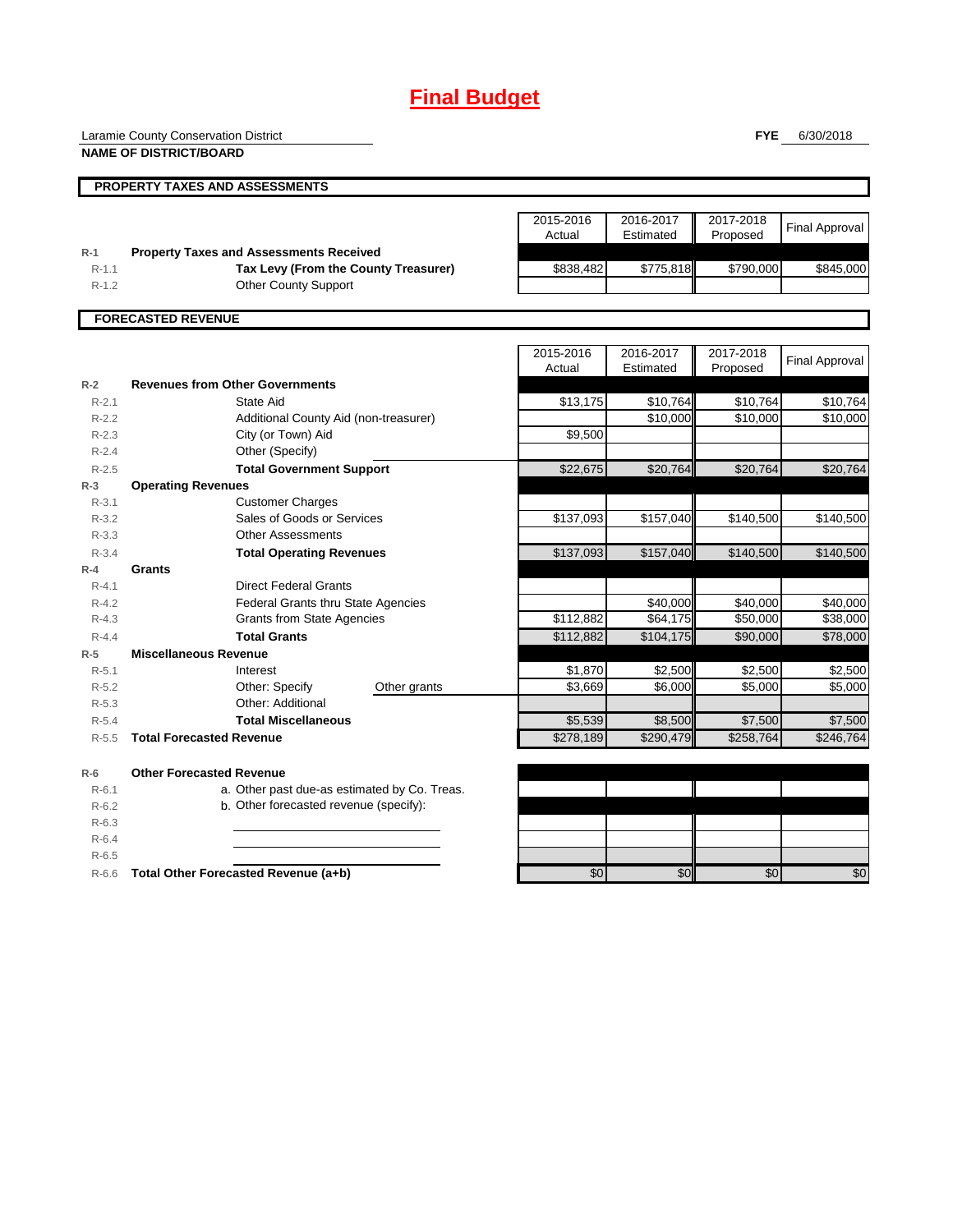# **Final Budget**

Laramie County Conservation District

**PROPERTY TAXES AND ASSESSMENTS**

**NAME OF DISTRICT/BOARD**

**FYE** 6/30/2018

|           |                                                | 2015-2016 | 2016-2017 | 2017-2018 | <b>Final Approval</b> |  |
|-----------|------------------------------------------------|-----------|-----------|-----------|-----------------------|--|
|           |                                                | Actual    | Estimated | Proposed  |                       |  |
| $R-1$     | <b>Property Taxes and Assessments Received</b> |           |           |           |                       |  |
| $R-1.1$   | Tax Levy (From the County Treasurer)           | \$838.482 | \$775.818 | \$790,000 | \$845,000             |  |
| $R - 1.2$ | <b>Other County Support</b>                    |           |           |           |                       |  |
|           |                                                |           |           |           |                       |  |
|           | <b>FORECASTED REVENUE</b>                      |           |           |           |                       |  |
|           |                                                |           |           |           |                       |  |

2015-2016 Actual 2016-2017 Estimated 2017-2018 **Final Approval R-2 Revenues from Other Governments** R-2.1 State Aid \$13,175 \$10,764 \$10,764 \$10,764 R-2.2 Additional County Aid (non-treasurer) \$10,000| \$10,000| \$10,000 R-2.3 **City (or Town) Aid Community Community Aid** S9,500 R-2.4 Other (Specify) R-2.5 **Total Government Support 19 \$22,675 \$20,764** \$20,764 \$20,764 \$20,764 **R-3 Operating Revenues** R-3.1 R-3.2 **5216 Sales of Goods or Services** Contract the State of State State State State State State State State Sta R-3.3 R-3.4 **Total Operating Revenues** \$137,093| \$157,040**|| \$140,500| \$140,500 R-4 Grants** R-4.1 Direct Federal Grants R-4.2 Federal Grants thru State Agencies \$40,000 \$40,000 \$40,000 R-4.3 Grants from State Agencies **120 \$112,882** \$64,175 \$50,000 \$38,000 R-4.4 **Total Grants** \$112,882 \$104,175 \$90,000 \$78,000 **R-5 Miscellaneous Revenue** R-5.1 Interest \$1,870 \$2,500 \$2,500 \$2,500 R-5.2 **Can Comber: Specify Comber grants Comber 1** (1996) \$6,000 \$5,000 \$5,000 \$5,000 \$5,000 \$5,000 \$5,000 \$5,000 \$5,000 \$5,000 \$5,000 \$5,000 \$5,000 \$5,000 \$5,000 \$5,000 \$5,000 \$5,000 \$5,000 \$5,000 \$5,000 \$5,000 \$5,000 \$5, R-5.3 R-5.4 **Total Miscellaneous 1.2.5 Contrary to the Contrary of the Step of Step 10 and Step 10 and Step 10 and Step 10 and Step 10 and Step 10 and Step 10 and Step 10 and Step 10 and Step 10 and Step 10 and Step 10 and Ste** R-5.5 **Total Forecasted Revenue 12.1 Contract 12.1 Contract 12.1 Contract 12.2** \$278,189 \$290,479 \$258,764 \$246,764 **R-6 Other Forecasted Revenue** R-6.1 a. Other past due-as estimated by Co. Treas. R-6.2 b. Other forecasted revenue (specify): R-6.3 R-6.4 R-6.5 R-6.6 **Total Other Forecasted Revenue (a+b)** \$0 \$0 \$0 \$0 Customer Charges Other grants State Aid Other: Additional Interest Other: Specify Other Assessments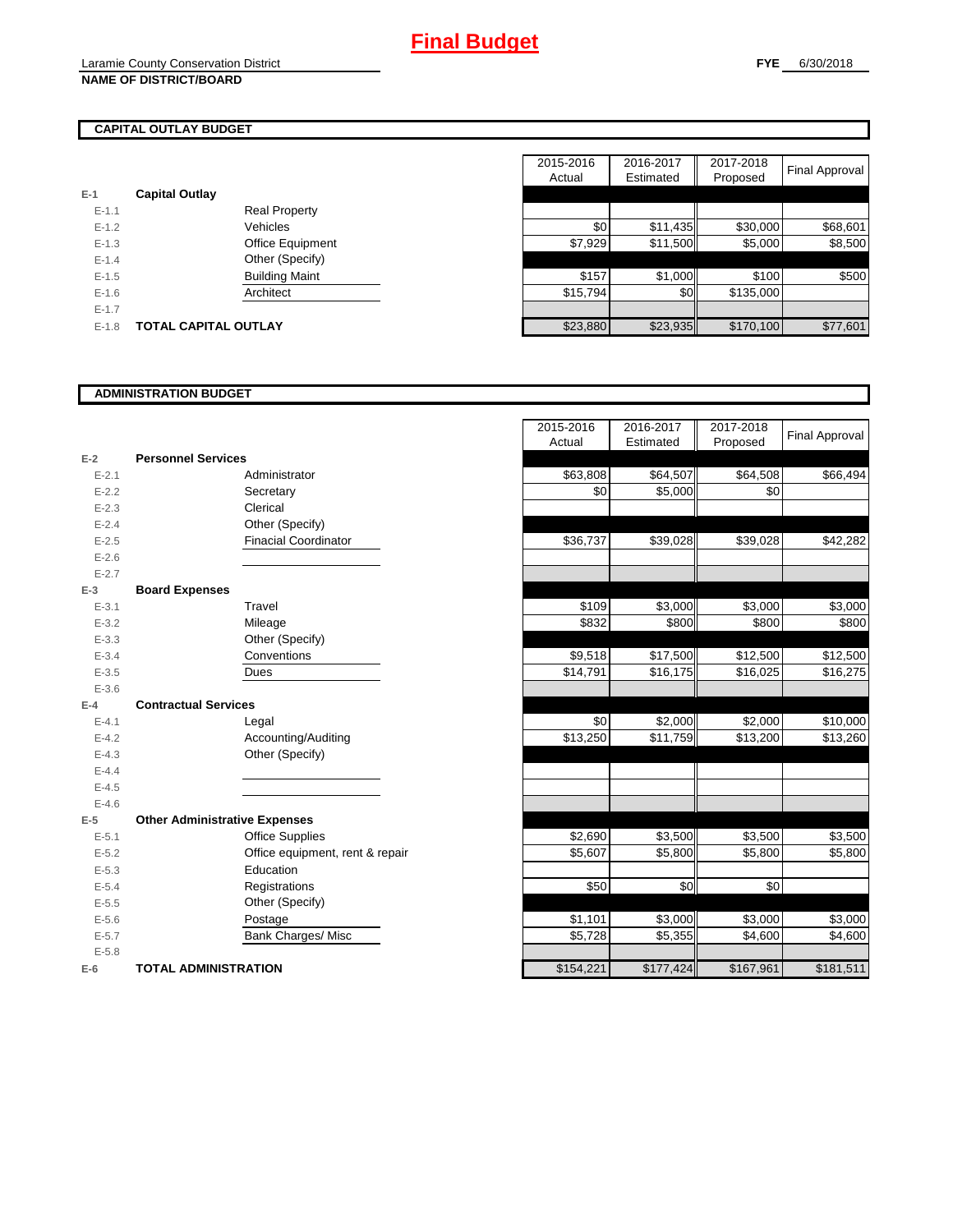# **CAPITAL OUTLAY BUDGET**

| $E-1$     | <b>Capital Outlay</b> |                         |
|-----------|-----------------------|-------------------------|
| $E - 1.1$ |                       | <b>Real Property</b>    |
| $F-12$    |                       | Vehicles                |
| $F-1.3$   |                       | <b>Office Equipment</b> |
| $F-14$    |                       | Other (Specify)         |
| $F-1.5$   |                       | <b>Building Maint</b>   |
| $F-16$    |                       | Architect               |
| $F-17$    |                       |                         |
| $E - 1.8$ | TOTAL CAPITAL OUTLAY  |                         |

|                       |                       | 2015-2016                   | 2016-2017 | 2017-2018                                       |                                                                                                              |
|-----------------------|-----------------------|-----------------------------|-----------|-------------------------------------------------|--------------------------------------------------------------------------------------------------------------|
|                       |                       | Actual                      | Estimated | Proposed                                        | Final Approval                                                                                               |
| <b>Capital Outlay</b> |                       |                             |           |                                                 |                                                                                                              |
|                       | <b>Real Property</b>  |                             |           |                                                 |                                                                                                              |
|                       | Vehicles              |                             |           |                                                 | \$68,601                                                                                                     |
|                       | Office Equipment      |                             |           |                                                 | \$8,500                                                                                                      |
|                       | Other (Specify)       |                             |           |                                                 |                                                                                                              |
|                       | <b>Building Maint</b> |                             |           |                                                 | \$500                                                                                                        |
|                       | Architect             |                             |           |                                                 |                                                                                                              |
|                       |                       |                             |           |                                                 |                                                                                                              |
|                       |                       |                             |           |                                                 | \$77,601                                                                                                     |
|                       |                       | <b>TOTAL CAPITAL OUTLAY</b> |           | \$0<br>\$7,929<br>\$157<br>\$15,794<br>\$23,880 | \$30,000<br>\$11,435<br>\$11,500<br>\$5,000<br>\$1,000<br>\$100<br>\$0<br>\$135,000<br>\$23,935<br>\$170,100 |

## **ADMINISTRATION BUDGET**

|           |                                      |                                 | nuuai     | Louniatou | <b>LIOPOSCU</b> |
|-----------|--------------------------------------|---------------------------------|-----------|-----------|-----------------|
| $E-2$     | <b>Personnel Services</b>            |                                 |           |           |                 |
| $E - 2.1$ |                                      | Administrator                   | \$63,808  | \$64,507  | \$64,508        |
| $E - 2.2$ |                                      | Secretary                       | \$0       | \$5,000   | \$0             |
| $E - 2.3$ |                                      | Clerical                        |           |           |                 |
| $E - 2.4$ |                                      | Other (Specify)                 |           |           |                 |
| $E-2.5$   |                                      | <b>Finacial Coordinator</b>     | \$36,737  | \$39,028  | \$39,028        |
| $E - 2.6$ |                                      |                                 |           |           |                 |
| $E - 2.7$ |                                      |                                 |           |           |                 |
| $E-3$     | <b>Board Expenses</b>                |                                 |           |           |                 |
| $E - 3.1$ |                                      | Travel                          | \$109     | \$3,000   | \$3,000         |
| $E - 3.2$ |                                      | Mileage                         | \$832     | \$800     | \$800           |
| $E - 3.3$ |                                      | Other (Specify)                 |           |           |                 |
| $E - 3.4$ |                                      | Conventions                     | \$9,518   | \$17,500  | \$12,500        |
| $E - 3.5$ |                                      | Dues                            | \$14,791  | \$16, 175 | \$16,025        |
| $E - 3.6$ |                                      |                                 |           |           |                 |
| $E-4$     | <b>Contractual Services</b>          |                                 |           |           |                 |
| $E - 4.1$ |                                      | Legal                           | \$0       | \$2,000   | \$2,000         |
| $E - 4.2$ |                                      | Accounting/Auditing             | \$13,250  | \$11,759  | \$13,200        |
| $E - 4.3$ |                                      | Other (Specify)                 |           |           |                 |
| $E - 4.4$ |                                      |                                 |           |           |                 |
| $E - 4.5$ |                                      |                                 |           |           |                 |
| $E-4.6$   |                                      |                                 |           |           |                 |
| $E-5$     | <b>Other Administrative Expenses</b> |                                 |           |           |                 |
| $E - 5.1$ |                                      | <b>Office Supplies</b>          | \$2,690   | \$3,500   | \$3,500         |
| $E - 5.2$ |                                      | Office equipment, rent & repair | \$5,607   | \$5,800   | \$5,800         |
| $E-5.3$   |                                      | Education                       |           |           |                 |
| $E - 5.4$ |                                      | Registrations                   | \$50      | \$0       | \$0             |
| $E-5.5$   |                                      | Other (Specify)                 |           |           |                 |
| $E-5.6$   |                                      | Postage                         | \$1,101   | \$3,000   | \$3,000         |
| $E - 5.7$ |                                      | <b>Bank Charges/ Misc</b>       | \$5,728   | \$5,355   | \$4,600         |
| $E - 5.8$ |                                      |                                 |           |           |                 |
| $E-6$     | <b>TOTAL ADMINISTRATION</b>          |                                 | \$154,221 | \$177,424 | \$167,961       |

|                          |                                      | 2015-2016 | 2016-2017 | 2017-2018 | <b>Final Approval</b> |
|--------------------------|--------------------------------------|-----------|-----------|-----------|-----------------------|
|                          |                                      | Actual    | Estimated | Proposed  |                       |
| Ž                        | <b>Personnel Services</b>            |           |           |           |                       |
| $E - 2.1$                | Administrator                        | \$63,808  | \$64,507  | \$64,508  | \$66,494              |
| $E - 2.2$                | Secretary                            | \$0       | \$5,000   | \$0       |                       |
| $E - 2.3$                | Clerical                             |           |           |           |                       |
| $E - 2.4$                | Other (Specify)                      |           |           |           |                       |
| $E-2.5$                  | <b>Finacial Coordinator</b>          | \$36,737  | \$39,028  | \$39,028  | \$42,282              |
| $E - 2.6$                |                                      |           |           |           |                       |
| $E - 2.7$                |                                      |           |           |           |                       |
| $\overline{\phantom{0}}$ | <b>Board Expenses</b>                |           |           |           |                       |
| $E - 3.1$                | Travel                               | \$109     | \$3,000   | \$3,000   | \$3,000               |
| $E - 3.2$                | Mileage                              | \$832     | \$800     | \$800     | \$800                 |
| $E - 3.3$                | Other (Specify)                      |           |           |           |                       |
| $E - 3.4$                | Conventions                          | \$9,518   | \$17,500  | \$12,500  | \$12,500              |
| $E - 3.5$                | Dues                                 | \$14,791  | \$16,175  | \$16,025  | \$16,275              |
| $E - 3.6$                |                                      |           |           |           |                       |
| l.                       | <b>Contractual Services</b>          |           |           |           |                       |
| $E - 4.1$                | Legal                                | \$0       | \$2,000   | \$2,000   | \$10,000              |
| $E - 4.2$                | Accounting/Auditing                  | \$13,250  | \$11,759  | \$13,200  | \$13,260              |
| $E - 4.3$                | Other (Specify)                      |           |           |           |                       |
| $E - 4.4$                |                                      |           |           |           |                       |
| $E-4.5$                  |                                      |           |           |           |                       |
| $E - 4.6$                |                                      |           |           |           |                       |
| $\overline{\phantom{a}}$ | <b>Other Administrative Expenses</b> |           |           |           |                       |
| $E - 5.1$                | <b>Office Supplies</b>               | \$2,690   | \$3,500   | \$3,500   | \$3,500               |
| $E - 5.2$                | Office equipment, rent & repair      | \$5,607   | \$5,800   | \$5,800   | \$5,800               |
| $E - 5.3$                | Education                            |           |           |           |                       |
| $E - 5.4$                | Registrations                        | \$50      | \$0       | \$0       |                       |
| $E - 5.5$                | Other (Specify)                      |           |           |           |                       |
| $E - 5.6$                | Postage                              | \$1,101   | \$3,000   | \$3,000   | \$3,000               |
| $E - 5.7$                | <b>Bank Charges/ Misc</b>            | \$5,728   | \$5,355   | \$4,600   | \$4,600               |
| $E - 5.8$                |                                      |           |           |           |                       |
| ì                        | <b>TOTAL ADMINISTRATION</b>          | \$154,221 | \$177,424 | \$167,961 | \$181,511             |
|                          |                                      |           |           |           |                       |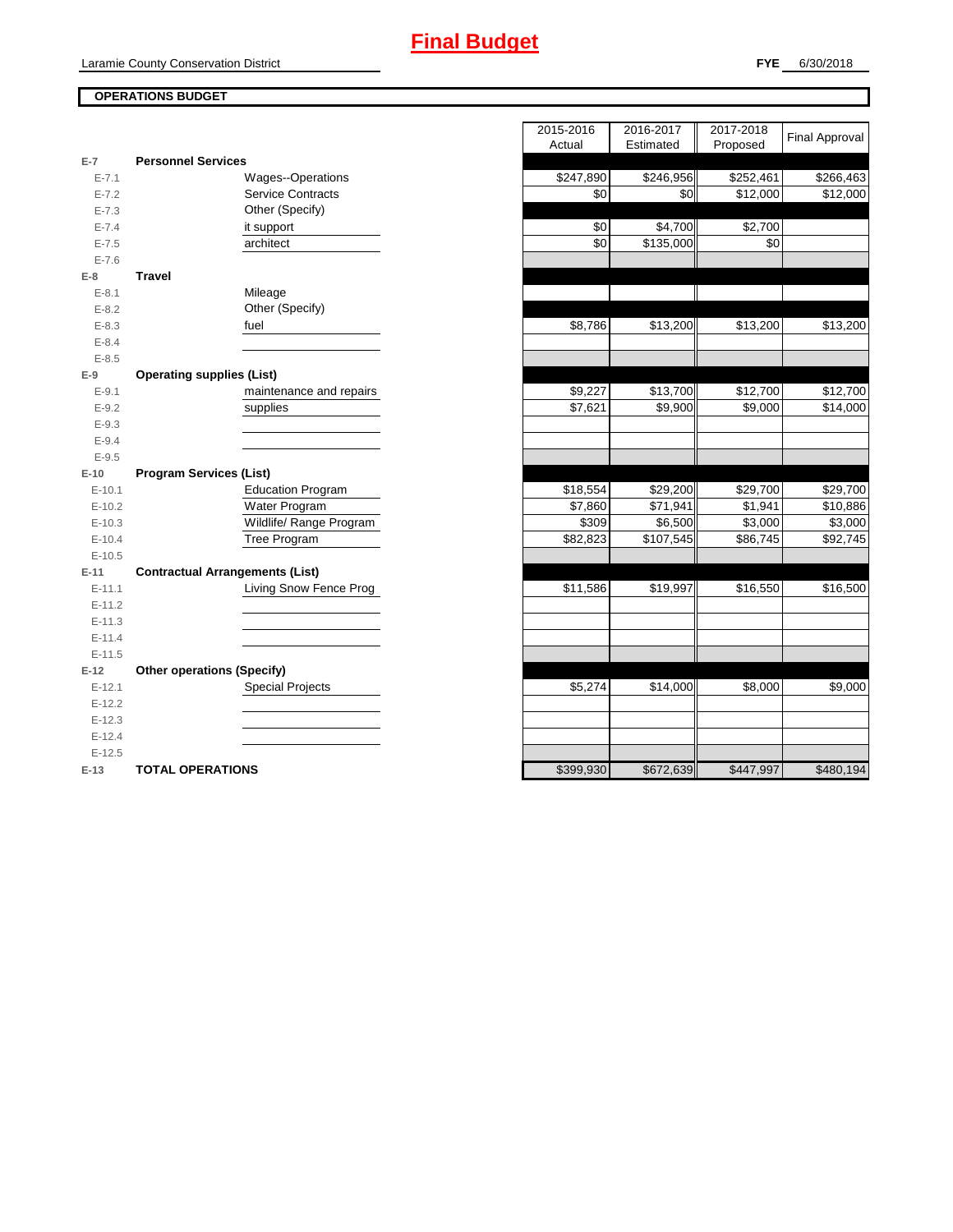## **OPERATIONS BUDGET**

| $E-7$     | <b>Personnel Services</b>              |           |                       |           |           |
|-----------|----------------------------------------|-----------|-----------------------|-----------|-----------|
| $E - 7.1$ | Wages--Operations                      | \$247,890 | \$246,956             | \$252,461 | \$266,463 |
| $E - 7.2$ | <b>Service Contracts</b>               | \$0       | \$0                   | \$12,000  | \$12,000  |
| $E - 7.3$ | Other (Specify)                        |           |                       |           |           |
| $E - 7.4$ | it support                             | \$0       | \$4,700               | \$2,700   |           |
| $E - 7.5$ | architect                              | \$0       | $\overline{$}135,000$ | \$0       |           |
| $E - 7.6$ |                                        |           |                       |           |           |
| $E-8$     | <b>Travel</b>                          |           |                       |           |           |
| $E - 8.1$ | Mileage                                |           |                       |           |           |
| $E - 8.2$ | Other (Specify)                        |           |                       |           |           |
| $E - 8.3$ | fuel                                   | \$8,786   | \$13,200              | \$13,200  | \$13,200  |
| $E - 8.4$ |                                        |           |                       |           |           |
| $E - 8.5$ |                                        |           |                       |           |           |
| $E-9$     | <b>Operating supplies (List)</b>       |           |                       |           |           |
| $E - 9.1$ | maintenance and repairs                | \$9,227   | \$13,700              | \$12,700  | \$12,700  |
| $E-9.2$   | supplies                               | \$7,621   | \$9,900               | \$9,000   | \$14,000  |
| $E-9.3$   |                                        |           |                       |           |           |
| $E-9.4$   |                                        |           |                       |           |           |
| $E-9.5$   |                                        |           |                       |           |           |
| $E-10$    | <b>Program Services (List)</b>         |           |                       |           |           |
| $E-10.1$  | <b>Education Program</b>               | \$18,554  | \$29,200              | \$29,700  | \$29,700  |
| $E-10.2$  | Water Program                          | \$7,860   | \$71,941              | \$1,941   | \$10,886  |
| $E-10.3$  | Wildlife/ Range Program                | \$309     | \$6,500               | \$3,000   | \$3,000   |
| $E-10.4$  | Tree Program                           | \$82,823  | \$107,545             | \$86,745  | \$92,745  |
| $E-10.5$  |                                        |           |                       |           |           |
| $E-11$    | <b>Contractual Arrangements (List)</b> |           |                       |           |           |
| $E-11.1$  | Living Snow Fence Prog                 | \$11,586  | \$19,997              | \$16,550  | \$16,500  |
| $E-11.2$  |                                        |           |                       |           |           |
| $E-11.3$  |                                        |           |                       |           |           |
| $E-11.4$  |                                        |           |                       |           |           |
| $E-11.5$  |                                        |           |                       |           |           |
| $E-12$    | <b>Other operations (Specify)</b>      |           |                       |           |           |
| $E-12.1$  | <b>Special Projects</b>                | \$5,274   | \$14,000              | \$8,000   | \$9,000   |
| $E-12.2$  |                                        |           |                       |           |           |
| $E-12.3$  |                                        |           |                       |           |           |
| $E-12.4$  |                                        |           |                       |           |           |
| $E-12.5$  |                                        |           |                       |           |           |
| $E-13$    | <b>TOTAL OPERATIONS</b>                | \$399,930 | \$672,639             | \$447,997 | \$480,194 |

|                |                                        | 2015-2016 | 2016-2017 | 2017-2018            | <b>Final Approval</b> |
|----------------|----------------------------------------|-----------|-----------|----------------------|-----------------------|
|                |                                        | Actual    | Estimated | Proposed             |                       |
| $\overline{7}$ | <b>Personnel Services</b>              |           |           |                      |                       |
| $E - 7.1$      | <b>Wages--Operations</b>               | \$247,890 | \$246,956 | \$252,461            | \$266,463             |
| $E - 7.2$      | <b>Service Contracts</b>               | \$0       | \$0       | \$12,000             | \$12,000              |
| $E - 7.3$      | Other (Specify)                        |           |           |                      |                       |
| $E - 7.4$      | it support                             | \$0       | \$4,700   | $\overline{$}2,700$  |                       |
| $E - 7.5$      | architect                              | \$0       | \$135,000 | \$0                  |                       |
| $E - 7.6$      |                                        |           |           |                      |                       |
| 8              | <b>Travel</b>                          |           |           |                      |                       |
| $E - 8.1$      | Mileage                                |           |           |                      |                       |
| $E - 8.2$      | Other (Specify)                        |           |           |                      |                       |
| $E - 8.3$      | fuel                                   | \$8,786   | \$13,200  | \$13,200             | \$13,200              |
| $E - 8.4$      |                                        |           |           |                      |                       |
| $E - 8.5$      |                                        |           |           |                      |                       |
| 9              | <b>Operating supplies (List)</b>       |           |           |                      |                       |
| $E - 9.1$      | maintenance and repairs                | \$9,227   | \$13,700  | \$12,700             | \$12,700              |
| $E - 9.2$      | supplies                               | \$7,621   | \$9,900   | \$9,000              | \$14,000              |
| $E - 9.3$      |                                        |           |           |                      |                       |
| $E - 9.4$      |                                        |           |           |                      |                       |
| $E - 9.5$      |                                        |           |           |                      |                       |
| $10^{\circ}$   | <b>Program Services (List)</b>         |           |           |                      |                       |
| $E-10.1$       | <b>Education Program</b>               | \$18,554  | \$29,200  | $\overline{$}29,700$ | \$29,700              |
| $E-10.2$       | Water Program                          | \$7,860   | \$71,941  | \$1,941              | \$10,886              |
| $E-10.3$       | Wildlife/ Range Program                | \$309     | \$6,500   | \$3,000              | $\overline{$3,000}$   |
| $E-10.4$       | Tree Program                           | \$82,823  | \$107,545 | \$86,745             | \$92,745              |
| $E-10.5$       |                                        |           |           |                      |                       |
| $11 -$         | <b>Contractual Arrangements (List)</b> |           |           |                      |                       |
| $E-11.1$       | Living Snow Fence Prog                 | \$11,586  | \$19,997  | \$16,550             | \$16,500              |
| $E-11.2$       |                                        |           |           |                      |                       |
| $E-11.3$       |                                        |           |           |                      |                       |
| $E-11.4$       |                                        |           |           |                      |                       |
| $E-11.5$       |                                        |           |           |                      |                       |
| 12             | <b>Other operations (Specify)</b>      |           |           |                      |                       |
| $E-12.1$       | <b>Special Projects</b>                | \$5,274   | \$14,000  | \$8,000              | \$9,000               |
| $E-12.2$       |                                        |           |           |                      |                       |
| $E-12.3$       |                                        |           |           |                      |                       |
| $E-12.4$       |                                        |           |           |                      |                       |
| $E-12.5$       |                                        |           |           |                      |                       |
| $-13$          | <b>TOTAL OPERATIONS</b>                | \$399.930 | \$672.639 | \$447.997            | \$480.194             |
|                |                                        |           |           |                      |                       |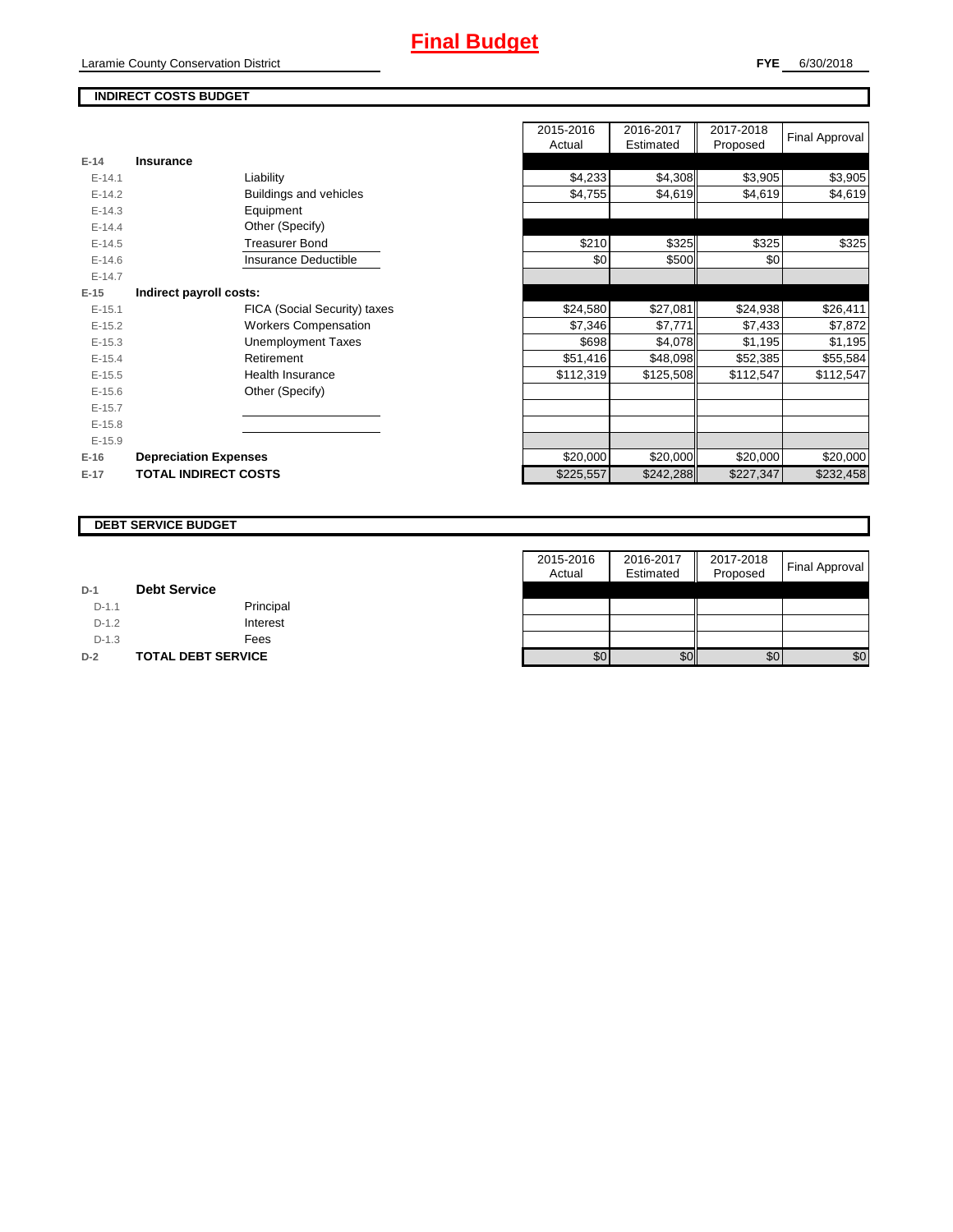## **INDIRECT COSTS BUDGET**

|          |                              | Actual    | Estimated | Proposed  |           |
|----------|------------------------------|-----------|-----------|-----------|-----------|
| $E-14$   | Insurance                    |           |           |           |           |
| $E-14.1$ | Liability                    | \$4,233   | \$4,308   | \$3,905   | \$3,905   |
| $E-14.2$ | Buildings and vehicles       | \$4,755   | \$4,619   | \$4,619   | \$4,619   |
| $E-14.3$ | Equipment                    |           |           |           |           |
| $E-14.4$ | Other (Specify)              |           |           |           |           |
| $E-14.5$ | <b>Treasurer Bond</b>        | \$210     | \$325     | \$325     | \$325     |
| $E-14.6$ | Insurance Deductible         | \$0       | \$500     | \$0       |           |
| $E-14.7$ |                              |           |           |           |           |
| $E-15$   | Indirect payroll costs:      |           |           |           |           |
| $E-15.1$ | FICA (Social Security) taxes | \$24,580  | \$27,081  | \$24,938  | \$26,411  |
| $E-15.2$ | <b>Workers Compensation</b>  | \$7,346   | \$7,771   | \$7,433   | \$7,872   |
| $E-15.3$ | <b>Unemployment Taxes</b>    | \$698     | \$4,078   | \$1,195   | \$1,195   |
| $E-15.4$ | Retirement                   | \$51,416  | \$48,098  | \$52,385  | \$55,584  |
| $E-15.5$ | Health Insurance             | \$112,319 | \$125,508 | \$112,547 | \$112,547 |
| $E-15.6$ | Other (Specify)              |           |           |           |           |
| $E-15.7$ |                              |           |           |           |           |
| $E-15.8$ |                              |           |           |           |           |
| $E-15.9$ |                              |           |           |           |           |
| $E-16$   | <b>Depreciation Expenses</b> | \$20,000  | \$20,000  | \$20,000  | \$20,000  |
| $E-17$   | <b>TOTAL INDIRECT COSTS</b>  | \$225,557 | \$242,288 | \$227,347 | \$232,458 |
|          |                              |           |           |           |           |

| 2015-2016<br>Actual | 2016-2017<br>Estimated | 2017-2018<br>Proposed | <b>Final Approval</b> |
|---------------------|------------------------|-----------------------|-----------------------|
|                     |                        |                       |                       |
| \$4,233             | \$4,308                | \$3,905               | \$3,905               |
| \$4,755             | \$4,619                | \$4,619               | \$4,619               |
|                     |                        |                       |                       |
|                     |                        |                       |                       |
| \$210               | \$325                  | \$325                 | \$325                 |
| \$0                 | \$500                  | \$0                   |                       |
|                     |                        |                       |                       |
|                     |                        |                       |                       |
| \$24,580            | \$27,081               | \$24,938              | \$26,411              |
| \$7,346             | \$7,771                | \$7,433               | \$7,872               |
| \$698               | \$4,078                | \$1,195               | \$1,195               |
| \$51,416            | \$48,098               | \$52,385              | \$55,584              |
| \$112,319           | \$125,508              | \$112,547             | \$112,547             |
|                     |                        |                       |                       |
|                     |                        |                       |                       |
|                     |                        |                       |                       |
|                     |                        |                       |                       |
| \$20,000            | \$20,000               | \$20,000              | \$20,000              |
| \$225,557           | \$242,288              | \$227,347             | \$232,458             |

#### **DEBT SERVICE BUDGET**

|         |                           | 2015-2016 | 2016-2017 | 2017-2018 |                |
|---------|---------------------------|-----------|-----------|-----------|----------------|
|         |                           | Actual    | Estimated | Proposed  | Final Approval |
| $D-1$   | <b>Debt Service</b>       |           |           |           |                |
| $D-1.1$ | Principal                 |           |           |           |                |
| $D-1.2$ | Interest                  |           |           |           |                |
| $D-1.3$ | Fees                      |           |           |           |                |
| $D-2$   | <b>TOTAL DEBT SERVICE</b> | \$0       | \$0       | \$0       | \$0            |